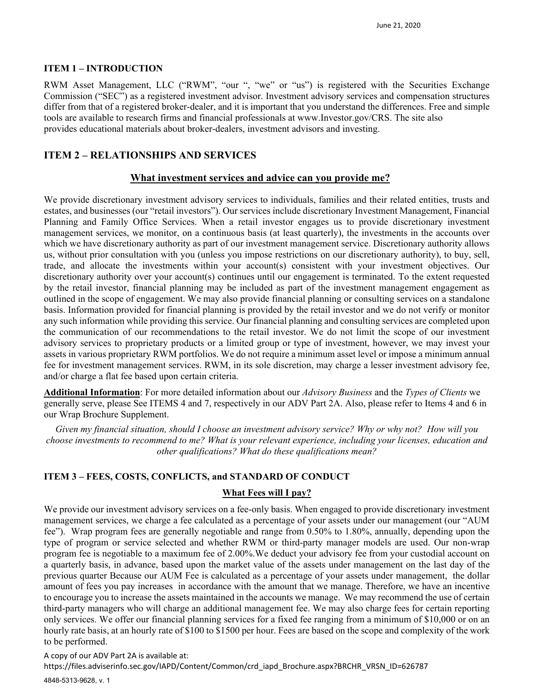#### **ITEM 1 – INTRODUCTION**

RWM Asset Management, LLC ("RWM", "our ", "we" or "us") is registered with the Securities Exchange Commission ("SEC") as a registered investment advisor. Investment advisory services and compensation structures differ from that of a registered broker-dealer, and it is important that you understand the differences. Free and simple tools are available to research firms and financial professionals at www.Investor.gov/CRS. The site also provides educational materials about broker-dealers, investment advisors and investing.

# **ITEM 2 – RELATIONSHIPS AND SERVICES**

#### **What investment services and advice can you provide me?**

We provide discretionary investment advisory services to individuals, families and their related entities, trusts and estates, and businesses (our "retail investors"). Our services include discretionary Investment Management, Financial Planning and Family Office Services. When a retail investor engages us to provide discretionary investment management services, we monitor, on a continuous basis (at least quarterly), the investments in the accounts over which we have discretionary authority as part of our investment management service. Discretionary authority allows us, without prior consultation with you (unless you impose restrictions on our discretionary authority), to buy, sell, trade, and allocate the investments within your account(s) consistent with your investment objectives. Our discretionary authority over your account(s) continues until our engagement is terminated. To the extent requested by the retail investor, financial planning may be included as part of the investment management engagement as outlined in the scope of engagement. We may also provide financial planning or consulting services on a standalone basis. Information provided for financial planning is provided by the retail investor and we do not verify or monitor any such information while providing this service. Our financial planning and consulting services are completed upon the communication of our recommendations to the retail investor. We do not limit the scope of our investment advisory services to proprietary products or a limited group or type of investment, however, we may invest your assets in various proprietary RWM portfolios. We do not require a minimum asset level or impose a minimum annual fee for investment management services. RWM, in its sole discretion, may charge a lesser investment advisory fee, and/or charge a flat fee based upon certain criteria.

**Additional Information**: For more detailed information about our *Advisory Business* and the *Types of Clients* we generally serve, please See ITEMS 4 and 7, respectively in our ADV Part 2A. Also, please refer to Items 4 and 6 in our Wrap Brochure Supplement.

*Given my financial situation, should I choose an investment advisory service? Why or why not? How will you choose investments to recommend to me? What is your relevant experience, including your licenses, education and other qualifications? What do these qualifications mean?*

#### **ITEM 3 – FEES, COSTS, CONFLICTS, and STANDARD OF CONDUCT**

#### **What Fees will I pay?**

We provide our investment advisory services on a fee-only basis. When engaged to provide discretionary investment management services, we charge a fee calculated as a percentage of your assets under our management (our "AUM fee"). Wrap program fees are generally negotiable and range from 0.50% to 1.80%, annually, depending upon the type of program or service selected and whether RWM or third-party manager models are used. Our non-wrap program fee is negotiable to a maximum fee of 2.00%.We deduct your advisory fee from your custodial account on a quarterly basis, in advance, based upon the market value of the assets under management on the last day of the previous quarter Because our AUM Fee is calculated as a percentage of your assets under management, the dollar amount of fees you pay increases in accordance with the amount that we manage. Therefore, we have an incentive to encourage you to increase the assets maintained in the accounts we manage. We may recommend the use of certain third-party managers who will charge an additional management fee. We may also charge fees for certain reporting only services. We offer our financial planning services for a fixed fee ranging from a minimum of \$10,000 or on an hourly rate basis, at an hourly rate of \$100 to \$1500 per hour. Fees are based on the scope and complexity of the work to be performed.

A copy of our ADV Part 2A is available at: https://files.adviserinfo.sec.gov/IAPD/Content/Common/crd\_iapd\_Brochure.aspx?BRCHR\_VRSN\_ID=626787

#### 4848-5313-9628, v. 1